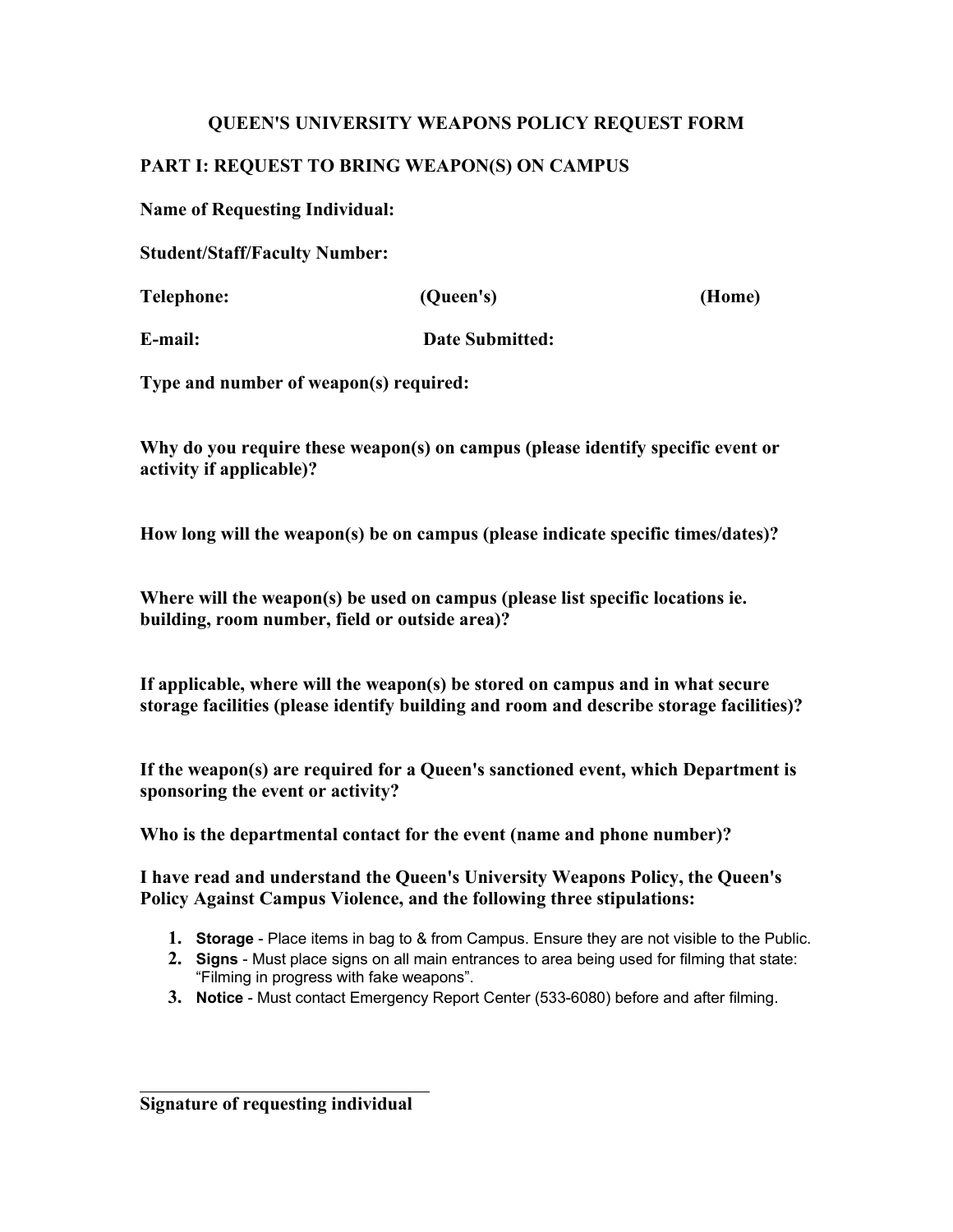### **QUEEN'S UNIVERSITY WEAPONS POLICY REQUEST FORM**

# **PART I: REQUEST TO BRING WEAPON(S) ON CAMPUS**

#### **Name of Requesting Individual:**

**Student/Staff/Faculty Number:**

| <b>Telephone:</b> | (Queen's)              | (Home) |
|-------------------|------------------------|--------|
| E-mail:           | <b>Date Submitted:</b> |        |

**Type and number of weapon(s) required:**

**Why do you require these weapon(s) on campus (please identify specific event or activity if applicable)?**

**How long will the weapon(s) be on campus (please indicate specific times/dates)?** 

**Where will the weapon(s) be used on campus (please list specific locations ie. building, room number, field or outside area)?**

**If applicable, where will the weapon(s) be stored on campus and in what secure storage facilities (please identify building and room and describe storage facilities)?**

**If the weapon(s) are required for a Queen's sanctioned event, which Department is sponsoring the event or activity?**

**Who is the departmental contact for the event (name and phone number)?**

**I have read and understand the Queen's University Weapons Policy, the Queen's Policy Against Campus Violence, and the following three stipulations:**

- **1. Storage**  Place items in bag to & from Campus. Ensure they are not visible to the Public.
- **2. Signs**  Must place signs on all main entrances to area being used for filming that state: "Filming in progress with fake weapons".
- **3. Notice**  Must contact Emergency Report Center (533-6080) before and after filming.